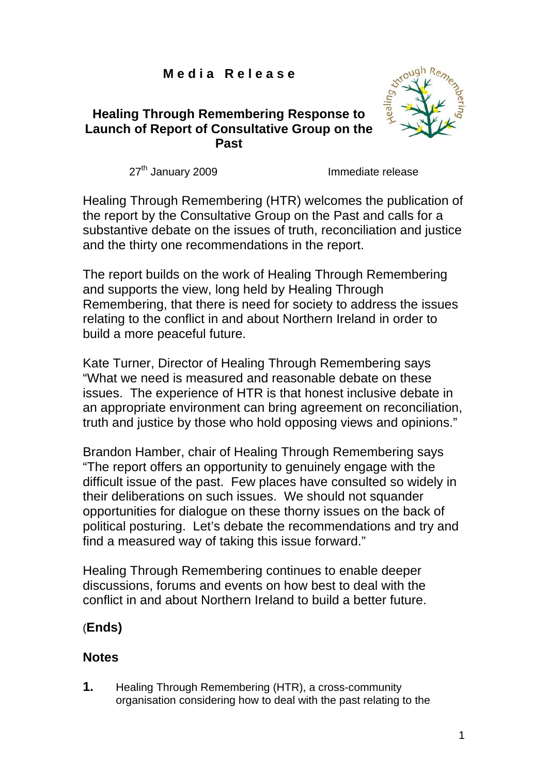# **M e d i a R e l e a s e**

# **Healing Through Remembering Response to Launch of Report of Consultative Group on the Past**



27<sup>th</sup> January 2009 **Immediate release** 

Healing Through Remembering (HTR) welcomes the publication of the report by the Consultative Group on the Past and calls for a substantive debate on the issues of truth, reconciliation and justice and the thirty one recommendations in the report.

The report builds on the work of Healing Through Remembering and supports the view, long held by Healing Through Remembering, that there is need for society to address the issues relating to the conflict in and about Northern Ireland in order to build a more peaceful future.

Kate Turner, Director of Healing Through Remembering says "What we need is measured and reasonable debate on these issues. The experience of HTR is that honest inclusive debate in an appropriate environment can bring agreement on reconciliation, truth and justice by those who hold opposing views and opinions."

Brandon Hamber, chair of Healing Through Remembering says "The report offers an opportunity to genuinely engage with the difficult issue of the past. Few places have consulted so widely in their deliberations on such issues. We should not squander opportunities for dialogue on these thorny issues on the back of political posturing. Let's debate the recommendations and try and find a measured way of taking this issue forward."

Healing Through Remembering continues to enable deeper discussions, forums and events on how best to deal with the conflict in and about Northern Ireland to build a better future.

# (**Ends)**

# **Notes**

**1.** Healing Through Remembering (HTR), a cross-community organisation considering how to deal with the past relating to the